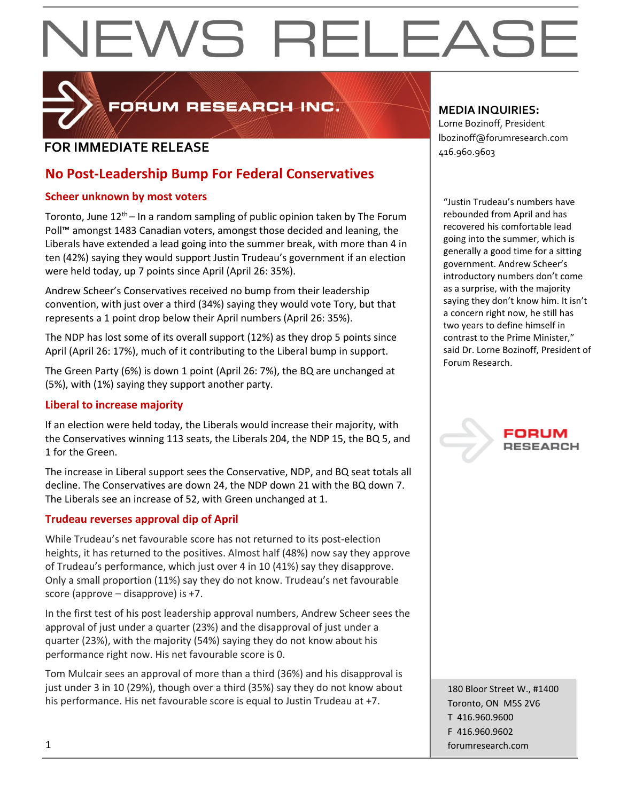

FORUM RESEARCH INC.

## **FOR IMMEDIATE RELEASE**  $\begin{bmatrix} 1.56 & 0.0000 & 0.00000 & 0.00000 & 0.00000 & 0.00000 & 0.00000 & 0.00000 & 0.00000 & 0.00000 & 0.00000 & 0.00000 & 0.00000 & 0.00000 & 0.00000 & 0.00000 & 0.00000 & 0.00000 & 0.00000 & 0.00000 & 0.00000 & 0.000$

## **No Post-Leadership Bump For Federal Conservatives**

## **Scheer unknown by most voters**

Toronto, June  $12<sup>th</sup>$  – In a random sampling of public opinion taken by The Forum Poll™ amongst 1483 Canadian voters, amongst those decided and leaning, the Liberals have extended a lead going into the summer break, with more than 4 in ten (42%) saying they would support Justin Trudeau's government if an election were held today, up 7 points since April (April 26: 35%).

Andrew Scheer's Conservatives received no bump from their leadership convention, with just over a third (34%) saying they would vote Tory, but that represents a 1 point drop below their April numbers (April 26: 35%).

The NDP has lost some of its overall support (12%) as they drop 5 points since April (April 26: 17%), much of it contributing to the Liberal bump in support.

The Green Party (6%) is down 1 point (April 26: 7%), the BQ are unchanged at (5%), with (1%) saying they support another party.

## **Liberal to increase majority**

If an election were held today, the Liberals would increase their majority, with the Conservatives winning 113 seats, the Liberals 204, the NDP 15, the BQ 5, and 1 for the Green.

The increase in Liberal support sees the Conservative, NDP, and BQ seat totals all decline. The Conservatives are down 24, the NDP down 21 with the BQ down 7. The Liberals see an increase of 52, with Green unchanged at 1.

## **Trudeau reverses approval dip of April**

While Trudeau's net favourable score has not returned to its post-election heights, it has returned to the positives. Almost half (48%) now say they approve of Trudeau's performance, which just over 4 in 10 (41%) say they disapprove. Only a small proportion (11%) say they do not know. Trudeau's net favourable score (approve – disapprove) is +7.

In the first test of his post leadership approval numbers, Andrew Scheer sees the approval of just under a quarter (23%) and the disapproval of just under a quarter (23%), with the majority (54%) saying they do not know about his performance right now. His net favourable score is 0.

Tom Mulcair sees an approval of more than a third (36%) and his disapproval is just under 3 in 10 (29%), though over a third (35%) say they do not know about his performance. His net favourable score is equal to Justin Trudeau at +7.

## **MEDIA INQUIRIES:**

Lorne Bozinoff, President lbozinoff@forumresearch.com

"Justin Trudeau's numbers have rebounded from April and has recovered his comfortable lead going into the summer, which is generally a good time for a sitting government. Andrew Scheer's introductory numbers don't come as a surprise, with the majority saying they don't know him. It isn't a concern right now, he still has two years to define himself in contrast to the Prime Minister," said Dr. Lorne Bozinoff, President of Forum Research.



180 Bloor Street W., #1400 Toronto, ON M5S 2V6 T 416.960.9600 F 416.960.9602 1 forumresearch.com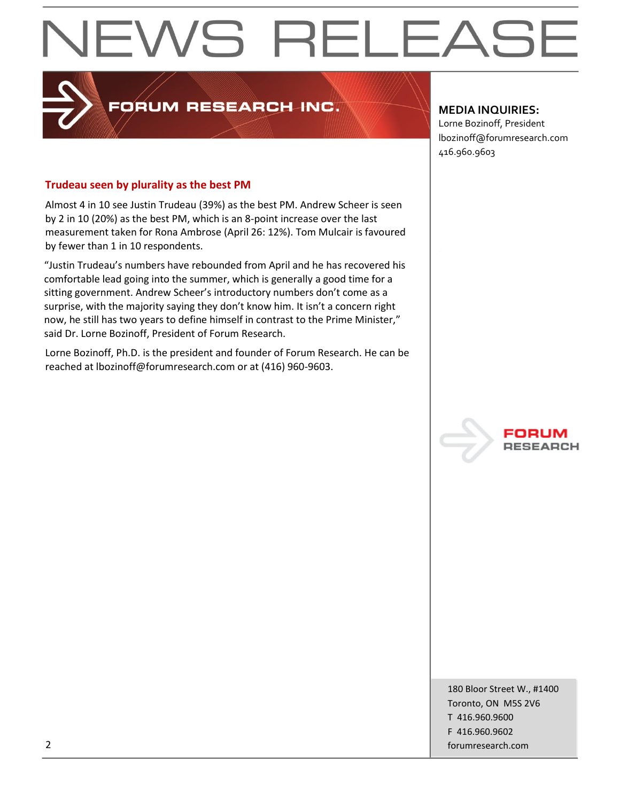## FORUM RESEARCH INC.

## **MEDIA INQUIRIES:**

Lorne Bozinoff, President lbozinoff@forumresearch.com 416.960.9603

## **Trudeau seen by plurality as the best PM**

Almost 4 in 10 see Justin Trudeau (39%) as the best PM. Andrew Scheer is seen by 2 in 10 (20%) as the best PM, which is an 8-point increase over the last measurement taken for Rona Ambrose (April 26: 12%). Tom Mulcair is favoured by fewer than 1 in 10 respondents.

"Justin Trudeau's numbers have rebounded from April and he has recovered his comfortable lead going into the summer, which is generally a good time for a sitting government. Andrew Scheer's introductory numbers don't come as a surprise, with the majority saying they don't know him. It isn't a concern right now, he still has two years to define himself in contrast to the Prime Minister," said Dr. Lorne Bozinoff, President of Forum Research.

Lorne Bozinoff, Ph.D. is the president and founder of Forum Research. He can be reached at lbozinoff@forumresearch.com or at (416) 960-9603.



180 Bloor Street W., #1400 Toronto, ON M5S 2V6 T 416.960.9600 F 416.960.9602 2 forumresearch.com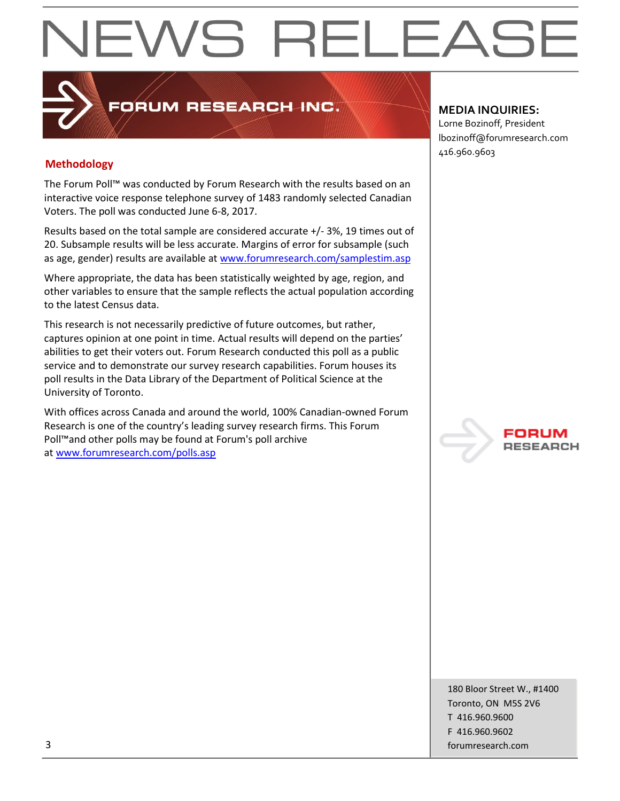## **Methodology**

The Forum Poll™ was conducted by Forum Research with the results based on an interactive voice response telephone survey of 1483 randomly selected Canadian Voters. The poll was conducted June 6-8, 2017.

PORUM RESEARCH INC.

Results based on the total sample are considered accurate +/- 3%, 19 times out of 20. Subsample results will be less accurate. Margins of error for subsample (such as age, gender) results are available at [www.forumresearch.com/samplestim.asp](http://www.forumresearch.com/samplestim.asp)

Where appropriate, the data has been statistically weighted by age, region, and other variables to ensure that the sample reflects the actual population according to the latest Census data.

This research is not necessarily predictive of future outcomes, but rather, captures opinion at one point in time. Actual results will depend on the parties' abilities to get their voters out. Forum Research conducted this poll as a public service and to demonstrate our survey research capabilities. Forum houses its poll results in the Data Library of the Department of Political Science at the University of Toronto.

With offices across Canada and around the world, 100% Canadian-owned Forum Research is one of the country's leading survey research firms. This Forum Poll™and other polls may be found at Forum's poll archive at [www.forumresearch.com/polls.asp](http://www.forumresearch.com/polls.asp)

## **MEDIA INQUIRIES:**

Lorne Bozinoff, President lbozinoff@forumresearch.com 416.960.9603



180 Bloor Street W., #1400 Toronto, ON M5S 2V6 T 416.960.9600 F 416.960.9602 3 forumresearch.com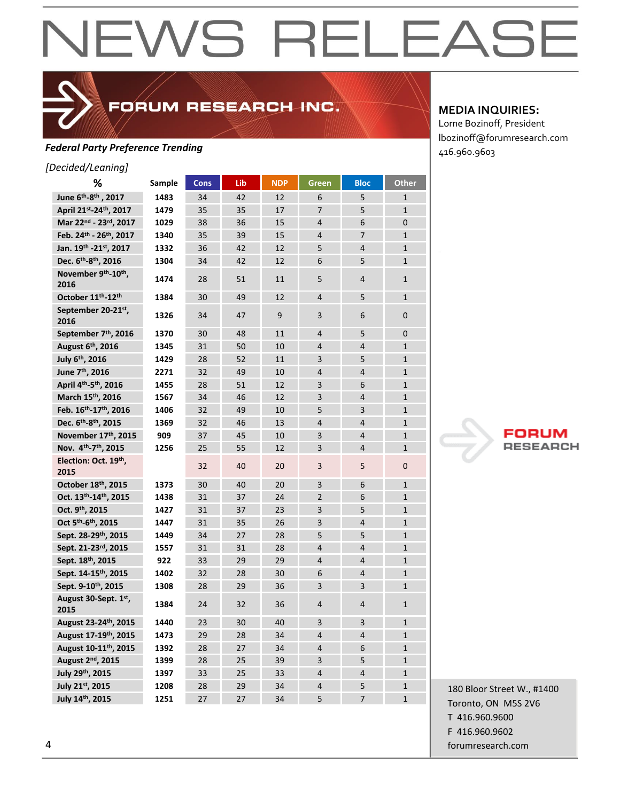FORUM RESEARCH INC.

## **Federal Party Preference Trending**<br>
416.960.9603

*[Decided/Leaning]*

| %                                             | Sample | <b>Cons</b> | Lib | <b>NDP</b> | Green          | <b>Bloc</b>              | <b>Other</b> |
|-----------------------------------------------|--------|-------------|-----|------------|----------------|--------------------------|--------------|
| June 6 <sup>th</sup> -8 <sup>th</sup> , 2017  | 1483   | 34          | 42  | 12         | 6              | 5                        | $\mathbf{1}$ |
| April 21st-24th, 2017                         | 1479   | 35          | 35  | 17         | $\overline{7}$ | 5                        | $\mathbf{1}$ |
| Mar 22nd - 23rd, 2017                         | 1029   | 38          | 36  | 15         | $\overline{4}$ | 6                        | 0            |
| Feb. 24th - 26th, 2017                        | 1340   | 35          | 39  | 15         | $\overline{4}$ | $\overline{7}$           | $\mathbf{1}$ |
| Jan. 19th -21st, 2017                         | 1332   | 36          | 42  | 12         | 5              | 4                        | $\mathbf{1}$ |
| Dec. 6 <sup>th</sup> -8 <sup>th</sup> , 2016  | 1304   | 34          | 42  | 12         | 6              | 5                        | $\mathbf{1}$ |
| November 9th-10th,<br>2016                    | 1474   | 28          | 51  | 11         | 5              | 4                        | $\mathbf{1}$ |
| October 11 <sup>th</sup> -12 <sup>th</sup>    | 1384   | 30          | 49  | 12         | 4              | 5                        | $\mathbf{1}$ |
| September 20-21st,<br>2016                    | 1326   | 34          | 47  | 9          | 3              | 6                        | 0            |
| September 7 <sup>th</sup> , 2016              | 1370   | 30          | 48  | 11         | 4              | 5                        | 0            |
| August 6 <sup>th</sup> , 2016                 | 1345   | 31          | 50  | 10         | $\overline{4}$ | $\overline{4}$           | $\mathbf{1}$ |
| July 6th, 2016                                | 1429   | 28          | 52  | 11         | 3              | 5                        | $\mathbf{1}$ |
| June 7 <sup>th</sup> , 2016                   | 2271   | 32          | 49  | 10         | $\overline{4}$ | $\overline{4}$           | $\mathbf{1}$ |
| April 4 <sup>th</sup> -5 <sup>th</sup> , 2016 | 1455   | 28          | 51  | 12         | 3              | 6                        | $\mathbf{1}$ |
| March 15th, 2016                              | 1567   | 34          | 46  | 12         | 3              | 4                        | $\mathbf{1}$ |
| Feb. 16th-17th, 2016                          | 1406   | 32          | 49  | 10         | 5              | 3                        | $\mathbf{1}$ |
| Dec. 6th-8th, 2015                            | 1369   | 32          | 46  | 13         | $\overline{4}$ | $\overline{4}$           | $\mathbf{1}$ |
| November 17th, 2015                           | 909    | 37          | 45  | 10         | 3              | $\overline{4}$           | $\mathbf{1}$ |
| Nov. 4th-7th, 2015                            | 1256   | 25          | 55  | 12         | 3              | 4                        | $\mathbf{1}$ |
| Election: Oct. 19th,<br>2015                  |        | 32          | 40  | 20         | 3              | 5                        | 0            |
| October 18th, 2015                            | 1373   | 30          | 40  | 20         | 3              | 6                        | $\mathbf{1}$ |
| Oct. 13th-14th, 2015                          | 1438   | 31          | 37  | 24         | $\overline{2}$ | 6                        | $\mathbf{1}$ |
| Oct. 9th, 2015                                | 1427   | 31          | 37  | 23         | 3              | 5                        | $\mathbf{1}$ |
| Oct 5 <sup>th</sup> -6 <sup>th</sup> , 2015   | 1447   | 31          | 35  | 26         | 3              | $\overline{4}$           | $\mathbf{1}$ |
| Sept. 28-29th, 2015                           | 1449   | 34          | 27  | 28         | 5              | 5                        | $\mathbf{1}$ |
| Sept. 21-23rd, 2015                           | 1557   | 31          | 31  | 28         | $\overline{4}$ | $\overline{4}$           | $\mathbf{1}$ |
| Sept. 18th, 2015                              | 922    | 33          | 29  | 29         | $\overline{4}$ | 4                        | $\mathbf{1}$ |
| Sept. 14-15th, 2015                           | 1402   | 32          | 28  | 30         | 6              | 4                        | $\mathbf{1}$ |
| Sept. 9-10th, 2015                            | 1308   | 28          | 29  | 36         | 3              | 3                        | $\mathbf{1}$ |
| August 30-Sept. 1st,<br>2015                  | 1384   | 24          | 32  | 36         | 4              | 4                        | $\mathbf{1}$ |
| August 23-24th, 2015                          | 1440   | 23          | 30  | 40         | 3              | 3                        | $\mathbf{1}$ |
| August 17-19th, 2015                          | 1473   | 29          | 28  | 34         | $\overline{4}$ | $\overline{4}$           | $\mathbf{1}$ |
| August 10-11th, 2015                          | 1392   | 28          | 27  | 34         | 4              | 6                        | $\mathbf{1}$ |
| August 2 <sup>nd</sup> , 2015                 | 1399   | 28          | 25  | 39         | 3              | 5                        | $\mathbf{1}$ |
| July 29th, 2015                               | 1397   | 33          | 25  | 33         | 4              | 4                        | $\mathbf{1}$ |
| July 21st, 2015                               | 1208   | 28          | 29  | 34         | $\overline{4}$ | 5                        | $\mathbf{1}$ |
| July 14th, 2015                               | 1251   | 27          | 27  | 34         | 5              | $\overline{\phantom{a}}$ | $\mathbf{1}$ |

## **MEDIA INQUIRIES:**

Lorne Bozinoff, President lbozinoff@forumresearch.com



180 Bloor Street W., #1400 Toronto, ON M5S 2V6 T 416.960.9600 F 416.960.9602 4 forumresearch.com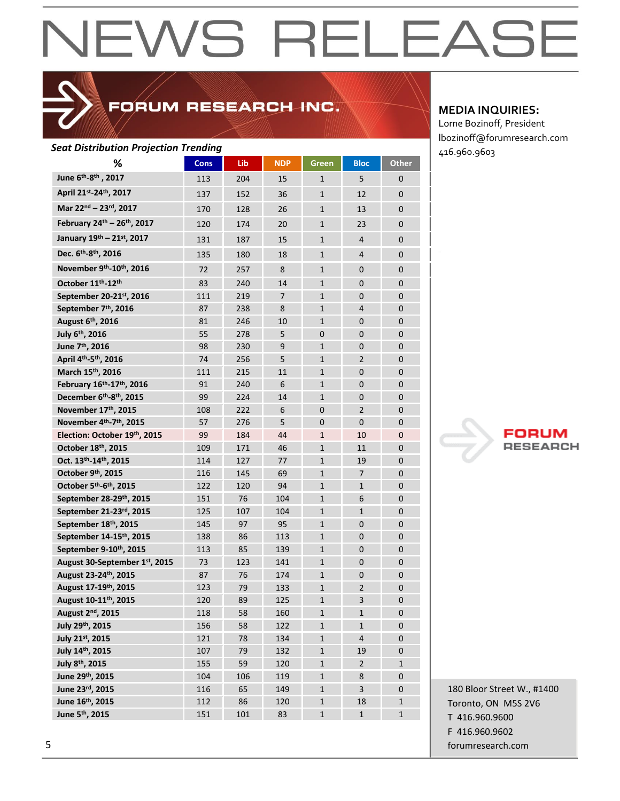## FORUM RESEARCH INC.

| <b>Seat Distribution Projection Trending</b> |             |     |                |              |                |              | 416.960.9603 |
|----------------------------------------------|-------------|-----|----------------|--------------|----------------|--------------|--------------|
| ℅                                            | <b>Cons</b> | Lib | <b>NDP</b>     | Green        | <b>Bloc</b>    | <b>Other</b> |              |
| June 6 <sup>th</sup> -8 <sup>th</sup> , 2017 | 113         | 204 | 15             | $\mathbf{1}$ | 5              | $\mathbf 0$  |              |
| April 21st-24th, 2017                        | 137         | 152 | 36             | $\mathbf{1}$ | 12             | $\mathbf 0$  |              |
| Mar 22nd - 23rd, 2017                        | 170         | 128 | 26             | $\mathbf{1}$ | 13             | $\mathbf 0$  |              |
| February 24th - 26th, 2017                   | 120         | 174 | 20             | $\mathbf{1}$ | 23             | $\mathbf 0$  |              |
| January 19th - 21st, 2017                    | 131         | 187 | 15             | $\mathbf{1}$ | 4              | $\mathbf 0$  |              |
| Dec. 6 <sup>th</sup> -8 <sup>th</sup> , 2016 | 135         | 180 | 18             | $\mathbf{1}$ | 4              | $\mathbf 0$  |              |
| November 9th-10th, 2016                      | 72          | 257 | 8              | $\mathbf{1}$ | 0              | $\mathbf 0$  |              |
| October 11th-12th                            | 83          | 240 | 14             | $\mathbf{1}$ | 0              | 0            |              |
| September 20-21st, 2016                      | 111         | 219 | $\overline{7}$ | $\mathbf{1}$ | $\mathbf{0}$   | $\mathbf{0}$ |              |
| September 7 <sup>th</sup> , 2016             | 87          | 238 | 8              | $\mathbf{1}$ | $\overline{4}$ | $\mathbf 0$  |              |
| August 6th, 2016                             | 81          | 246 | 10             | $\mathbf{1}$ | 0              | $\mathbf 0$  |              |
| July 6th, 2016                               | 55          | 278 | 5              | $\mathbf 0$  | $\mathbf 0$    | $\mathbf 0$  |              |
| June 7 <sup>th</sup> , 2016                  | 98          | 230 | 9              | $\mathbf{1}$ | $\mathbf 0$    | $\mathbf 0$  |              |
| April 4th-5th, 2016                          | 74          | 256 | 5              | $\mathbf{1}$ | $\overline{2}$ | $\mathbf 0$  |              |
| March 15th, 2016                             | 111         | 215 | 11             | $\mathbf{1}$ | $\mathbf{0}$   | $\mathbf{0}$ |              |
| February 16th-17th, 2016                     | 91          | 240 | 6              | $\mathbf{1}$ | $\mathbf 0$    | $\mathbf 0$  |              |
| December 6th-8th, 2015                       | 99          | 224 | 14             | $\mathbf{1}$ | $\mathbf 0$    | $\mathbf 0$  |              |
| November 17th, 2015                          | 108         | 222 | 6              | $\mathbf 0$  | $\overline{2}$ | $\mathbf 0$  |              |
| November 4th-7th, 2015                       | 57          | 276 | 5              | $\mathbf 0$  | $\mathbf{0}$   | $\mathbf 0$  |              |
| Election: October 19th, 2015                 | 99          | 184 | 44             | $\mathbf{1}$ | 10             | $\mathbf 0$  |              |
| October 18th, 2015                           | 109         | 171 | 46             | $\mathbf{1}$ | 11             | $\mathbf{0}$ | 7)           |
| Oct. 13th-14th, 2015                         | 114         | 127 | 77             | $\mathbf{1}$ | 19             | $\mathbf 0$  |              |
| October 9th, 2015                            | 116         | 145 | 69             | $\mathbf{1}$ | 7              | $\mathbf 0$  |              |
| October 5th-6th, 2015                        | 122         | 120 | 94             | $\mathbf{1}$ | 1              | $\mathbf 0$  |              |
| September 28-29th, 2015                      | 151         | 76  | 104            | $\mathbf{1}$ | $\sqrt{6}$     | $\mathbf 0$  |              |
| September 21-23rd, 2015                      | 125         | 107 | 104            | $\mathbf{1}$ | 1              | $\mathbf 0$  |              |
| September 18th, 2015                         | 145         | 97  | 95             | $\mathbf{1}$ | $\mathbf 0$    | $\mathbf 0$  |              |
| September 14-15th, 2015                      | 138         | 86  | 113            | $\mathbf{1}$ | $\mathbf 0$    | $\mathbf 0$  |              |
| September 9-10th, 2015                       | 113         | 85  | 139            | $\mathbf{1}$ | $\mathbf 0$    | $\mathbf 0$  |              |
| August 30-September 1st, 2015                | 73          | 123 | 141            | $\mathbf{1}$ | $\mathbf 0$    | $\mathbf 0$  |              |
| August 23-24th, 2015                         | 87          | 76  | 174            | $\mathbf{1}$ | 0              | $\mathbf 0$  |              |
| August 17-19th, 2015                         | 123         | 79  | 133            | 1            | 2              | $\mathbf{0}$ |              |
| August 10-11 <sup>th</sup> , 2015            | 120         | 89  | 125            | $\mathbf{1}$ | 3              | 0            |              |
| August 2 <sup>nd</sup> , 2015                | 118         | 58  | 160            | $\mathbf 1$  | $\mathbf 1$    | $\pmb{0}$    |              |
| July 29th, 2015                              | 156         | 58  | 122            | $\mathbf{1}$ | $\mathbf 1$    | $\pmb{0}$    |              |
| July 21st, 2015                              | 121         | 78  | 134            | $\mathbf{1}$ | $\overline{4}$ | $\pmb{0}$    |              |
| July 14th, 2015                              | 107         | 79  | 132            | $\mathbf{1}$ | 19             | $\mathbf 0$  |              |
| July 8th, 2015                               | 155         | 59  | 120            | $\mathbf 1$  | $\overline{2}$ | $\mathbf{1}$ |              |
| June 29th, 2015                              | 104         | 106 | 119            | $\mathbf 1$  | 8              | $\mathbf 0$  |              |
| June 23rd, 2015                              | 116         | 65  | 149            | $\mathbf 1$  | 3              | $\mathbf 0$  | 180 Bloor St |
| June 16th, 2015                              | 112         | 86  | 120            | $\mathbf{1}$ | 18             | $\mathbf{1}$ | Toronto, ON  |
| June 5 <sup>th</sup> , 2015                  | 151         | 101 | 83             | $\mathbf{1}$ | $\mathbf{1}$   | $\mathbf{1}$ | T 416.960.9  |

## **MEDIA INQUIRIES:**

Lorne Bozinoff, President lbozinoff@forumresearch.com



180 Bloor Street W., #1400 Toronto, ON M5S 2V6 T 416.960.9600 F 416.960.9602 5 forumresearch.com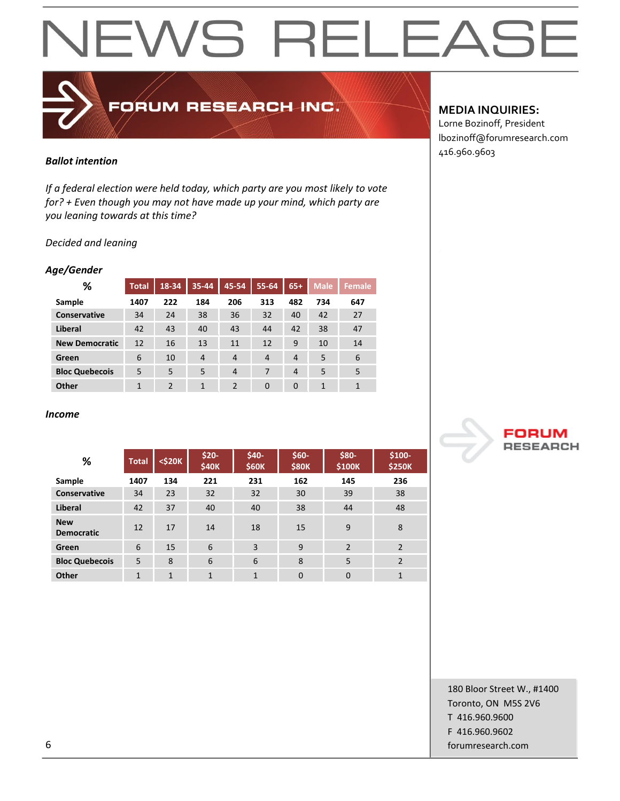## EWS RELEAS  $\blacktriangleleft$  $\mathbf{i}-$

## FORUM RESEARCH INC.

## *Ballot intention*

*If a federal election were held today, which party are you most likely to vote for? + Even though you may not have made up your mind, which party are you leaning towards at this time?*

## *Decided and leaning*

## *Age/Gender*

| %                     | <b>Total</b> | 18-34          | $35 - 44$      | 45-54          | 55-64          | $65+$          | <b>Male</b> | Female       |
|-----------------------|--------------|----------------|----------------|----------------|----------------|----------------|-------------|--------------|
| Sample                | 1407         | 222            | 184            | 206            | 313            | 482            | 734         | 647          |
| <b>Conservative</b>   | 34           | 24             | 38             | 36             | 32             | 40             | 42          | 27           |
| Liberal               | 42           | 43             | 40             | 43             | 44             | 42             | 38          | 47           |
| <b>New Democratic</b> | 12           | 16             | 13             | 11             | 12             | 9              | 10          | 14           |
| Green                 | 6            | 10             | $\overline{4}$ | $\overline{4}$ | $\overline{4}$ | $\overline{4}$ | 5           | 6            |
| <b>Bloc Quebecois</b> | 5            | 5              | 5              | $\overline{4}$ | 7              | $\overline{4}$ | 5           | 5            |
| Other                 | 1            | $\mathfrak{p}$ | 1              | 2              | $\Omega$       | $\Omega$       | 1           | $\mathbf{1}$ |

### *Income*

| %                               | <b>Total</b>   | $<$ \$20 $K$ | $$20-$<br>\$40K | \$40-<br><b>\$60K</b> | $$60-$<br><b>\$80K</b> | \$80-<br>\$100K | \$100-<br><b>\$250K</b> |
|---------------------------------|----------------|--------------|-----------------|-----------------------|------------------------|-----------------|-------------------------|
| Sample                          | 1407           | 134          | 221             | 231                   | 162                    | 145             | 236                     |
| Conservative                    | 34             | 23           | 32              | 32                    | 30                     | 39              | 38                      |
| Liberal                         | 42             | 37           | 40              | 40                    | 38                     | 44              | 48                      |
| <b>New</b><br><b>Democratic</b> | 12             | 17           | 14              | 18                    | 15                     | 9               | 8                       |
| Green                           | 6              | 15           | 6               | 3                     | 9                      | $\overline{2}$  | 2                       |
| <b>Bloc Quebecois</b>           | 5              | 8            | 6               | 6                     | 8                      | 5               | $\mathfrak{p}$          |
| Other                           | $\overline{1}$ | $\mathbf{1}$ | $\mathbf{1}$    | $\overline{1}$        | $\overline{0}$         | 0               | 1                       |

## **MEDIA INQUIRIES:**

Lorne Bozinoff, President lbozinoff@forumresearch.com 416.960.9603



180 Bloor Street W., #1400 Toronto, ON M5S 2V6 T 416.960.9600 F 416.960.9602 6 forumresearch.com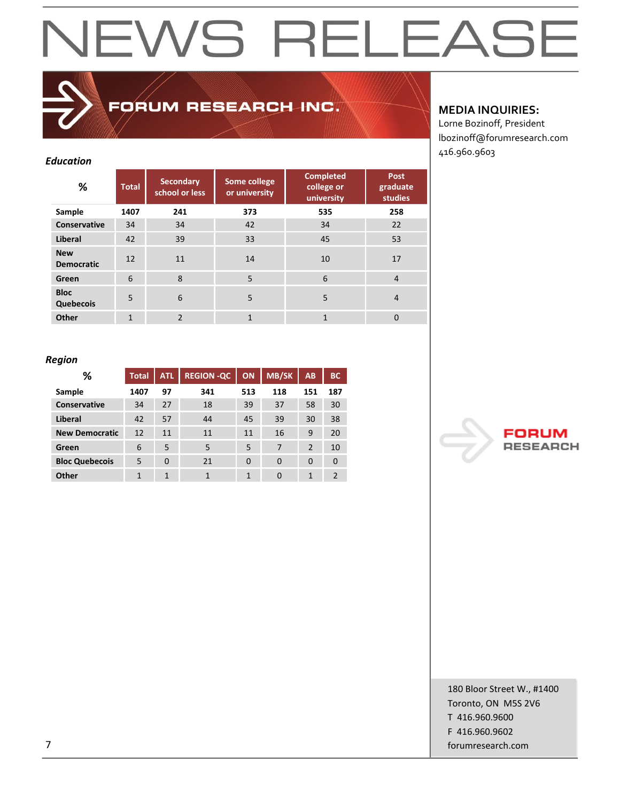## FORUM RESEARCH INC.

## *Education*

| %                               | <b>Total</b> | <b>Secondary</b><br>school or less | Some college<br>or university | <b>Completed</b><br>college or<br>university | <b>Post</b><br>graduate<br>studies |
|---------------------------------|--------------|------------------------------------|-------------------------------|----------------------------------------------|------------------------------------|
| Sample                          | 1407         | 241                                | 373                           | 535                                          | 258                                |
| Conservative                    | 34           | 34                                 | 42                            | 34                                           | 22                                 |
| Liberal                         | 42           | 39                                 | 33                            | 45                                           | 53                                 |
| <b>New</b><br><b>Democratic</b> | 12           | 11                                 | 14                            | 10                                           | 17                                 |
| Green                           | 6            | 8                                  | 5                             | 6                                            | $\overline{4}$                     |
| <b>Bloc</b><br>Quebecois        | 5            | 6                                  | 5                             | 5                                            | $\overline{4}$                     |
| Other                           | $\mathbf{1}$ | $\mathfrak{p}$                     | 1                             | $\overline{1}$                               | $\Omega$                           |

## **MEDIA INQUIRIES:**

Lorne Bozinoff, President lbozinoff@forumresearch.com 416.960.9603

## *Region*

| %                     | <b>Total</b> | <b>ATL</b> | <b>REGION -QC</b> | <b>ON</b> | <b>MB/SK</b> | AB             | <b>BC</b> |
|-----------------------|--------------|------------|-------------------|-----------|--------------|----------------|-----------|
| Sample                | 1407         | 97         | 341               | 513       | 118          | 151            | 187       |
| <b>Conservative</b>   | 34           | 27         | 18                | 39        | 37           | 58             | 30        |
| Liberal               | 42           | 57         | 44                | 45        | 39           | 30             | 38        |
| <b>New Democratic</b> | 12           | 11         | 11                | 11        | 16           | 9              | 20        |
| Green                 | 6            | 5          | 5                 | 5         | 7            | $\overline{2}$ | 10        |
| <b>Bloc Quebecois</b> | 5            | $\Omega$   | 21                | $\Omega$  | $\Omega$     | $\Omega$       | $\Omega$  |
| <b>Other</b>          | 1            | 1          | 1                 | 1         | $\Omega$     | 1              | 2         |



180 Bloor Street W., #1400 Toronto, ON M5S 2V6 T 416.960.9600 F 416.960.9602 7 forumresearch.com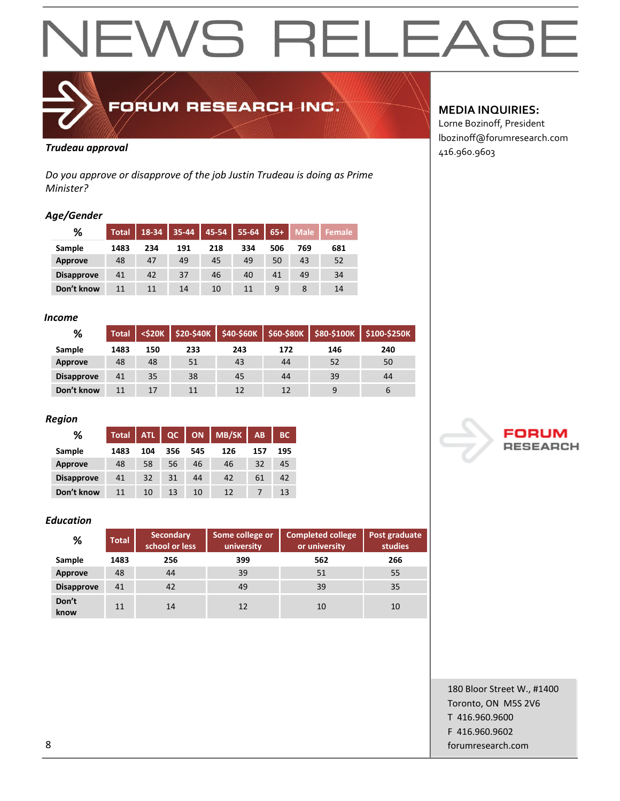

## FORUM RESEARCH INC.

## **Trudeau approval Trudeau approval 1999**

*Do you approve or disapprove of the job Justin Trudeau is doing as Prime Minister?*

## *Age/Gender*

| %                 | <b>Total</b> | 18-34 | 35-44 | 45-54 | 55-64 | $65+$ | <b>Male</b> | <b>Female</b> |
|-------------------|--------------|-------|-------|-------|-------|-------|-------------|---------------|
| Sample            | 1483         | 234   | 191   | 218   | 334   | 506   | 769         | 681           |
| <b>Approve</b>    | 48           | 47    | 49    | 45    | 49    | 50    | 43          | 52            |
| <b>Disapprove</b> | 41           | 42    | 37    | 46    | 40    | 41    | 49          | 34            |
| Don't know        | 11           | 11    | 14    | 10    | 11    |       |             | 14            |

## *Income*

| %                 | <b>Total</b> | <\$20K |     |     | $$20-$40K$ $$40-$60K$ $$60-$80K$ | $$80-$100K$ | \$100-\$250K |
|-------------------|--------------|--------|-----|-----|----------------------------------|-------------|--------------|
| Sample            | 1483         | 150    | 233 | 243 | 172                              | 146         | 240          |
| <b>Approve</b>    | 48           | 48     | 51  | 43  | 44                               | 52          | 50           |
| <b>Disapprove</b> | 41           | 35     | 38  | 45  | 44                               | 39          | 44           |
| Don't know        | 11           | 17     | 11  | 12  | 12                               | 9           | $\mathbf b$  |

## *Region*

| ℅                 | <b>Total</b> | <b>ATL</b> | QC  | ON  | <b>MB/SK</b> | AB  | <b>BC</b> |
|-------------------|--------------|------------|-----|-----|--------------|-----|-----------|
| Sample            | 1483         | 104        | 356 | 545 | 126          | 157 | 195       |
| <b>Approve</b>    | 48           | 58         | 56  | 46  | 46           | 32  | 45        |
| <b>Disapprove</b> | 41           | 32         | 31  | 44  | 42           | 61  | 42        |
| Don't know        | 11           | 10         | 13  | 10  | 12           |     | 13        |

## *Education*

| %                 | <b>Total</b> | <b>Secondary</b><br>school or less | Some college or<br>university | <b>Completed college</b><br>or university | Post graduate<br>studies |
|-------------------|--------------|------------------------------------|-------------------------------|-------------------------------------------|--------------------------|
| Sample            | 1483         | 256                                | 399                           | 562                                       | 266                      |
| <b>Approve</b>    | 48           | 44                                 | 39                            | 51                                        | 55                       |
| <b>Disapprove</b> | 41           | 42                                 | 49                            | 39                                        | 35                       |
| Don't<br>know     | 11           | 14                                 | 12                            | 10                                        | 10                       |

## **MEDIA INQUIRIES:**

Lorne Bozinoff, President lbozinoff@forumresearch.com



180 Bloor Street W., #1400 Toronto, ON M5S 2V6 T 416.960.9600 F 416.960.9602 8 forumresearch.com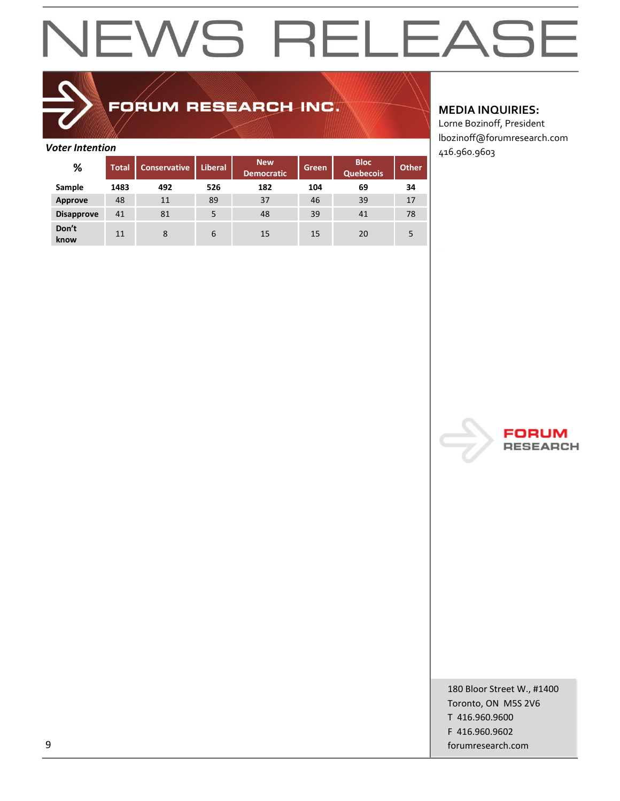## FORUM RESEARCH INC.

| <b>Voter Intention</b> |              |                     |                |                                 |       |                                 |       | 416.960.9603 |
|------------------------|--------------|---------------------|----------------|---------------------------------|-------|---------------------------------|-------|--------------|
| %                      | <b>Total</b> | <b>Conservative</b> | <b>Liberal</b> | <b>New</b><br><b>Democratic</b> | Green | <b>Bloc</b><br><b>Quebecois</b> | Other |              |
| Sample                 | 1483         | 492                 | 526            | 182                             | 104   | 69                              | 34    |              |
| Approve                | 48           | 11                  | 89             | 37                              | 46    | 39                              | 17    |              |
| <b>Disapprove</b>      | 41           | 81                  | 5              | 48                              | 39    | 41                              | 78    |              |
| Don't<br>know          | 11           | 8                   | 6              | 15                              | 15    | 20                              | 5     |              |

## **MEDIA INQUIRIES:**

Lorne Bozinoff, President lbozinoff@forumresearch.com



180 Bloor Street W., #1400 Toronto, ON M5S 2V6 T 416.960.9600 F 416.960.9602 9 forumresearch.com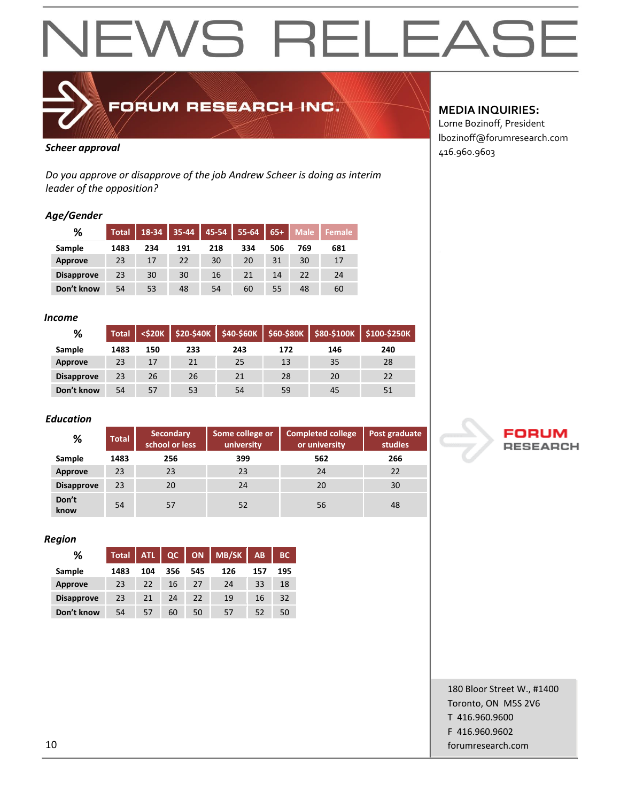

FORUM RESEARCH INC.

*Do you approve or disapprove of the job Andrew Scheer is doing as interim leader of the opposition?*

### *Age/Gender*

| %                 | <b>Total</b> | 18-34 | $35 - 44$ | 45-54 | 55-64 | $65+$ | Male | Female |
|-------------------|--------------|-------|-----------|-------|-------|-------|------|--------|
| Sample            | 1483         | 234   | 191       | 218   | 334   | 506   | 769  | 681    |
| Approve           | 23           | 17    | 22        | 30    | 20    | 31    | 30   | 17     |
| <b>Disapprove</b> | 23           | 30    | 30        | 16    | 21    | 14    | 22   | 24     |
| Don't know        | 54           | 53    | 48        | 54    | 60    | 55    | 48   | 60     |

### *Income*

| %                 | <b>Total</b> | $<$ \$20 $K$ | $$20-$40K$ | \$40-\$60K | $ $ \$60-\$80K |     | \$80-\$100K \$100-\$250K |
|-------------------|--------------|--------------|------------|------------|----------------|-----|--------------------------|
| Sample            | 1483         | 150          | 233        | 243        | 172            | 146 | 240                      |
| Approve           | 23           | 17           | 21         | 25         | 13             | 35  | 28                       |
| <b>Disapprove</b> | 23           | 26           | 26         | 21         | 28             | 20  | 22                       |
| Don't know        | 54           | 57           | 53         | 54         | 59             | 45  | 51                       |

### *Education*

| %                 | <b>Total</b> | <b>Secondary</b><br>school or less | Some college or<br>university | <b>Completed college</b><br>or university | Post graduate<br>studies |
|-------------------|--------------|------------------------------------|-------------------------------|-------------------------------------------|--------------------------|
| Sample            | 1483         | 256                                | 399                           | 562                                       | 266                      |
| Approve           | 23           | 23                                 | 23                            | 24                                        | 22                       |
| <b>Disapprove</b> | 23           | 20                                 | 24                            | 20                                        | 30                       |
| Don't<br>know     | 54           | 57                                 | 52                            | 56                                        | 48                       |

### *Region*

| %                 | <b>Total</b> | <b>ATL</b> | QC  | ON  | <b>MB/SK</b> | AB  | <b>BC</b> |
|-------------------|--------------|------------|-----|-----|--------------|-----|-----------|
| Sample            | 1483         | 104        | 356 | 545 | 126          | 157 | 195       |
| <b>Approve</b>    | 23           | 22         | 16  | 27  | 24           | 33  | 18        |
| <b>Disapprove</b> | 23           | 21         | 24  | 22  | 19           | 16  | 32        |
| Don't know        | 54           | 57         | 60  | 50  | 57           | 52  | 50        |

## **MEDIA INQUIRIES:**

Lorne Bozinoff, President lbozinoff@forumresearch.com **Scheer approval Alternative Scheer approval Alternative Scheer approval Alternative Scheer approval Alternative Scheer Approval <b>Alternative Scheer Alternative Scheer Approval Alternative Scheer Approval and A** 



180 Bloor Street W., #1400 Toronto, ON M5S 2V6 T 416.960.9600 F 416.960.9602 10 forumresearch.com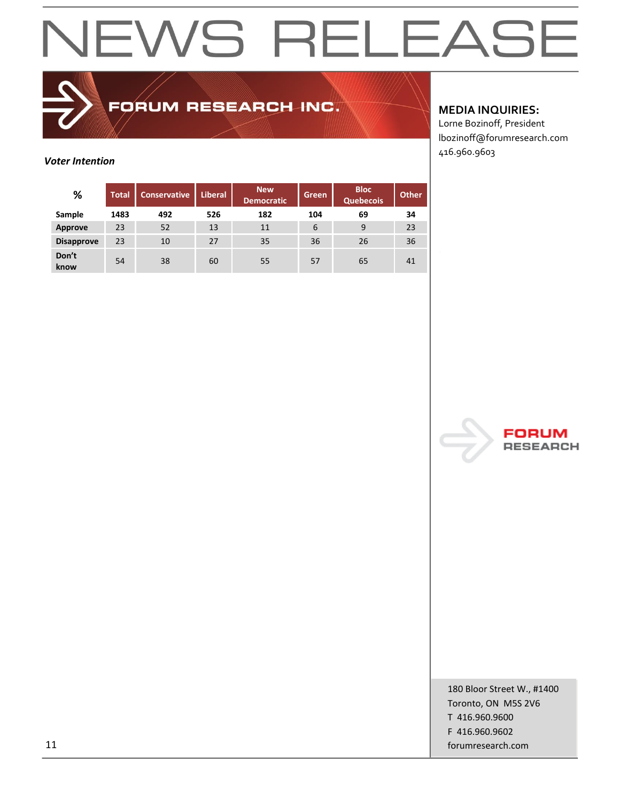

FORUM RESEARCH INC.

## **MEDIA INQUIRIES:**

Lorne Bozinoff, President lbozinoff@forumresearch.com 416.960.9603

## *Voter Intention*

| %                 | <b>Total</b> | Conservative | <b>Liberal</b> | <b>New</b><br><b>Democratic</b> | Green | <b>Bloc</b><br><b>Quebecois</b> | <b>Other</b> |
|-------------------|--------------|--------------|----------------|---------------------------------|-------|---------------------------------|--------------|
| Sample            | 1483         | 492          | 526            | 182                             | 104   | 69                              | 34           |
| Approve           | 23           | 52           | 13             | 11                              | 6     | 9                               | 23           |
| <b>Disapprove</b> | 23           | 10           | 27             | 35                              | 36    | 26                              | 36           |
| Don't<br>know     | 54           | 38           | 60             | 55                              | 57    | 65                              | 41           |



180 Bloor Street W., #1400 Toronto, ON M5S 2V6 T 416.960.9600 F 416.960.9602 11 forumresearch.com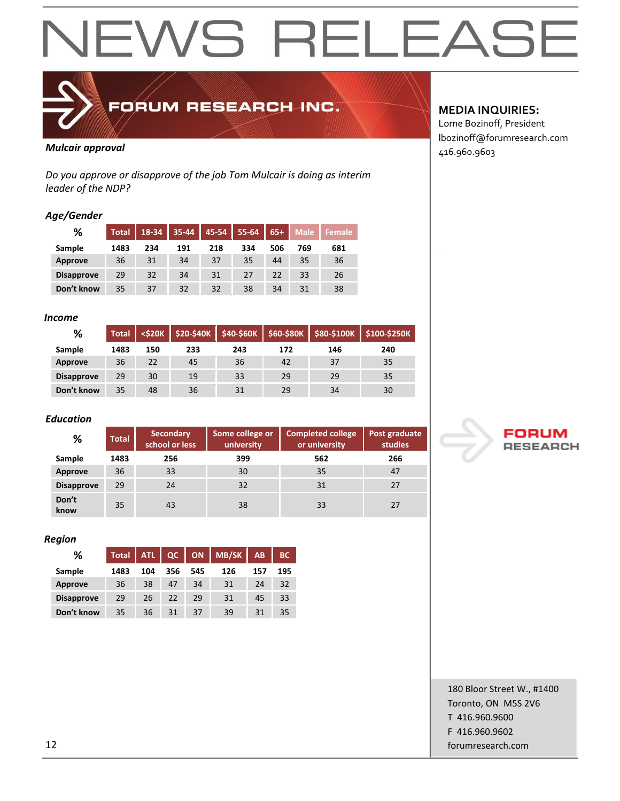

FORUM RESEARCH INC.

## *Mulcair approval* 416.960.9603

*Do you approve or disapprove of the job Tom Mulcair is doing as interim leader of the NDP?*

### *Age/Gender*

| %                 | Total | 18-34 | 35-44 | 45-54 | 55-64 | $65+$ | <b>Male</b> | <b>Female</b> |
|-------------------|-------|-------|-------|-------|-------|-------|-------------|---------------|
| Sample            | 1483  | 234   | 191   | 218   | 334   | 506   | 769         | 681           |
| <b>Approve</b>    | 36    | 31    | 34    | 37    | 35    | 44    | 35          | 36            |
| <b>Disapprove</b> | 29    | 32    | 34    | 31    | 27    | 22    | 33          | 26            |
| Don't know        | 35    | 37    | 32    | 32    | 38    | 34    | 31          | 38            |

### *Income*

| %                 | <b>Total</b> | $<$ \$20K | \$20-\$40K | $$40-$60K$ |     |     | \$60-\$80K \$80-\$100K \$100-\$250K |
|-------------------|--------------|-----------|------------|------------|-----|-----|-------------------------------------|
| Sample            | 1483         | 150       | 233        | 243        | 172 | 146 | 240                                 |
| Approve           | 36           | 22        | 45         | 36         | 42  | 37  | 35                                  |
| <b>Disapprove</b> | 29           | 30        | 19         | 33         | 29  | 29  | 35                                  |
| Don't know        | 35           | 48        | 36         | 31         | 29  | 34  | 30                                  |

### *Education*

| %                 | <b>Total</b> | <b>Secondary</b><br>school or less | Some college or<br>university | <b>Completed college</b><br>or university | Post graduate<br>studies |
|-------------------|--------------|------------------------------------|-------------------------------|-------------------------------------------|--------------------------|
| Sample            | 1483         | 256                                | 399                           | 562                                       | 266                      |
| Approve           | 36           | 33                                 | 30                            | 35                                        | 47                       |
| <b>Disapprove</b> | 29           | 24                                 | 32                            | 31                                        | 27                       |
| Don't<br>know     | 35           | 43                                 | 38                            | 33                                        | 27                       |

### *Region*

| %                 | <b>Total</b> | <b>ATL</b> | QC  | ON <b>I</b> | <b>MB/SK</b> | AB  | <b>BC</b> |
|-------------------|--------------|------------|-----|-------------|--------------|-----|-----------|
| Sample            | 1483         | 104        | 356 | 545         | 126          | 157 | 195       |
| <b>Approve</b>    | 36           | 38         | 47  | 34          | 31           | 24  | 32        |
| <b>Disapprove</b> | 29           | 26         | 22  | 29          | 31           | 45  | 33        |
| Don't know        | 35           | 36         | 31  | 37          | 39           | 31  | 35        |

## **MEDIA INQUIRIES:**

Lorne Bozinoff, President lbozinoff@forumresearch.com



180 Bloor Street W., #1400 Toronto, ON M5S 2V6 T 416.960.9600 F 416.960.9602 12 forumresearch.com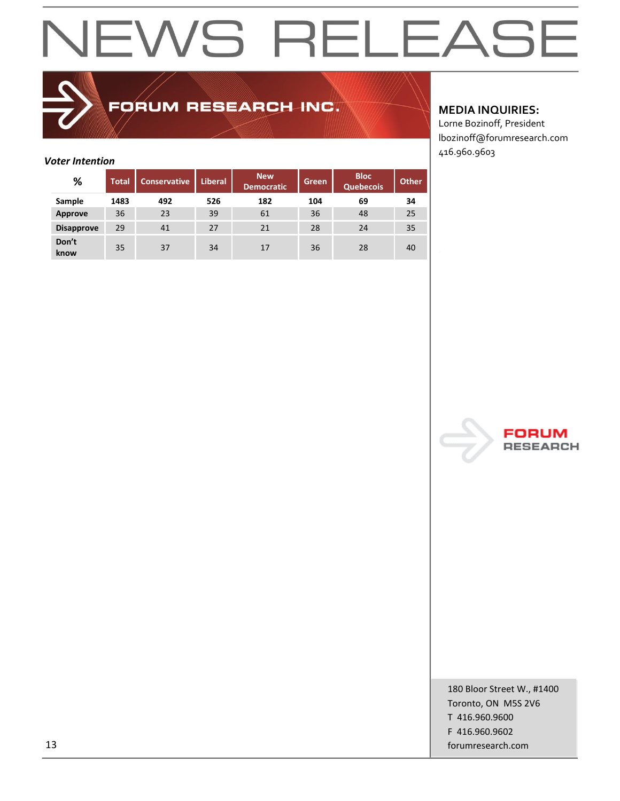## FORUM RESEARCH INC.

## *Voter Intention*

| %                 | <b>Total</b> | <b>Conservative</b> | <b>Liberal</b> | <b>New</b><br><b>Democratic</b> | Green | <b>Bloc</b><br><b>Quebecois</b> | <b>Other</b> |
|-------------------|--------------|---------------------|----------------|---------------------------------|-------|---------------------------------|--------------|
| Sample            | 1483         | 492                 | 526            | 182                             | 104   | 69                              | 34           |
| Approve           | 36           | 23                  | 39             | 61                              | 36    | 48                              | 25           |
| <b>Disapprove</b> | 29           | 41                  | 27             | 21                              | 28    | 24                              | 35           |
| Don't<br>know     | 35           | 37                  | 34             | 17                              | 36    | 28                              | 40           |

## **MEDIA INQUIRIES:**

Lorne Bozinoff, President lbozinoff@forumresearch.com 416.960.9603



180 Bloor Street W., #1400 Toronto, ON M5S 2V6 T 416.960.9600 F 416.960.9602 13 forumresearch.com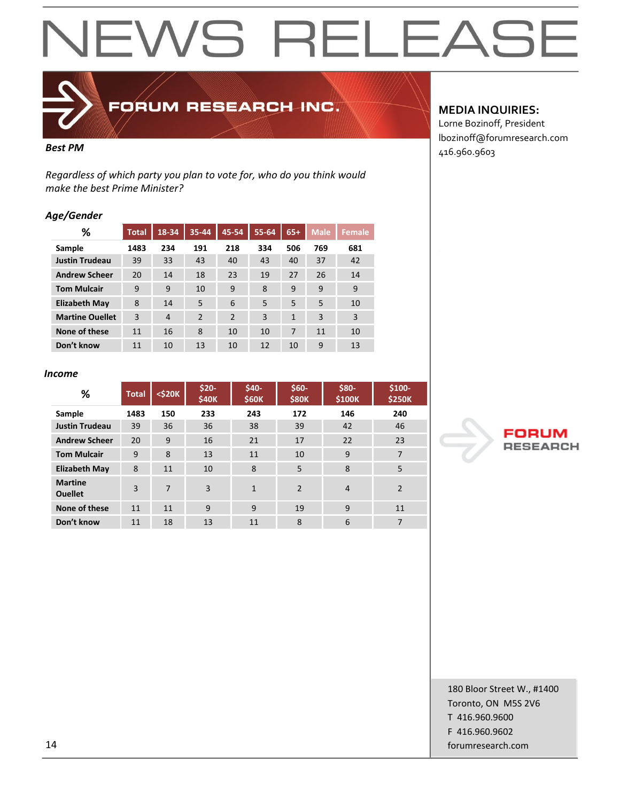

FORUM RESEARCH INC.

*Regardless of which party you plan to vote for, who do you think would make the best Prime Minister?*

## *Age/Gender*

| ℅                      | <b>Total</b> | 18-34          | 35-44          | 45-54          | 55-64 | $65+$ | <b>Male</b> | <b>Female</b> |
|------------------------|--------------|----------------|----------------|----------------|-------|-------|-------------|---------------|
| Sample                 | 1483         | 234            | 191            | 218            | 334   | 506   | 769         | 681           |
| <b>Justin Trudeau</b>  | 39           | 33             | 43             | 40             | 43    | 40    | 37          | 42            |
| <b>Andrew Scheer</b>   | 20           | 14             | 18             | 23             | 19    | 27    | 26          | 14            |
| <b>Tom Mulcair</b>     | 9            | 9              | 10             | 9              | 8     | 9     | 9           | 9             |
| <b>Elizabeth May</b>   | 8            | 14             | 5              | 6              | 5     | 5     | 5           | 10            |
| <b>Martine Ouellet</b> | 3            | $\overline{4}$ | $\overline{2}$ | $\overline{2}$ | 3     | 1     | 3           | 3             |
| None of these          | 11           | 16             | 8              | 10             | 10    | 7     | 11          | 10            |
| Don't know             | 11           | 10             | 13             | 10             | 12    | 10    | 9           | 13            |

### *Income*

| %                                | <b>Total</b> | <\$20K | $$20-$<br><b>\$40K</b> | \$40-<br><b>\$60K</b> | $$60-$<br><b>\$80K</b> | \$80-<br>\$100K | \$100-<br><b>\$250K</b> |
|----------------------------------|--------------|--------|------------------------|-----------------------|------------------------|-----------------|-------------------------|
| Sample                           | 1483         | 150    | 233                    | 243                   | 172                    | 146             | 240                     |
| <b>Justin Trudeau</b>            | 39           | 36     | 36                     | 38                    | 39                     | 42              | 46                      |
| <b>Andrew Scheer</b>             | 20           | 9      | 16                     | 21                    | 17                     | 22              | 23                      |
| <b>Tom Mulcair</b>               | 9            | 8      | 13                     | 11                    | 10                     | 9               | 7                       |
| <b>Elizabeth May</b>             | 8            | 11     | 10                     | 8                     | 5                      | 8               | 5                       |
| <b>Martine</b><br><b>Ouellet</b> | 3            | 7      | 3                      | $\mathbf{1}$          | $\overline{2}$         | $\overline{4}$  | $\overline{2}$          |
| None of these                    | 11           | 11     | 9                      | 9                     | 19                     | 9               | 11                      |
| Don't know                       | 11           | 18     | 13                     | 11                    | 8                      | 6               | 7                       |

## **MEDIA INQUIRIES:**

Lorne Bozinoff, President lbozinoff@forumresearch.com **Best PM** 416.960.9603



180 Bloor Street W., #1400 Toronto, ON M5S 2V6 T 416.960.9600 F 416.960.9602 14 forumresearch.com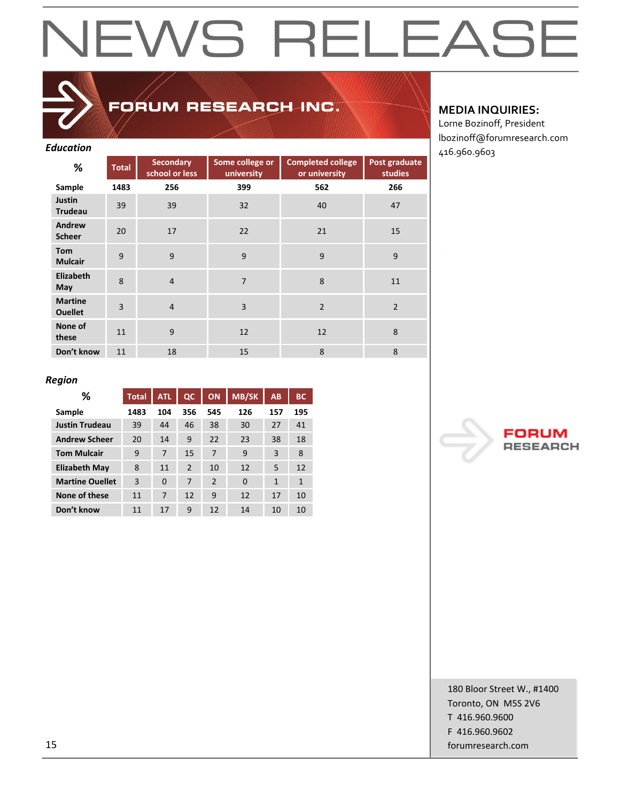## FORUM RESEARCH INC.

| <b>Education</b>                 |              |                                    |                               |                                           |                          | 416.960.9603 |
|----------------------------------|--------------|------------------------------------|-------------------------------|-------------------------------------------|--------------------------|--------------|
| %                                | <b>Total</b> | <b>Secondary</b><br>school or less | Some college or<br>university | <b>Completed college</b><br>or university | Post graduate<br>studies |              |
| Sample                           | 1483         | 256                                | 399                           | 562                                       | 266                      |              |
| Justin<br><b>Trudeau</b>         | 39           | 39                                 | 32                            | 40                                        | 47                       |              |
| Andrew<br><b>Scheer</b>          | 20           | 17                                 | 22                            | 21                                        | 15                       |              |
| <b>Tom</b><br><b>Mulcair</b>     | 9            | 9                                  | 9                             | 9                                         | 9                        |              |
| Elizabeth<br>May                 | 8            | $\overline{4}$                     | $\overline{7}$                | 8                                         | 11                       |              |
| <b>Martine</b><br><b>Ouellet</b> | 3            | $\overline{4}$                     | 3                             | $\overline{2}$                            | $\overline{2}$           |              |
| None of<br>these                 | 11           | 9                                  | 12                            | 12                                        | 8                        |              |
| Don't know                       | 11           | 18                                 | 15                            | 8                                         | 8                        |              |

## **MEDIA INQUIRIES:**

Lorne Bozinoff, President lbozinoff@forumresearch.com

### *Region*

| %                      | <b>Total</b> | <b>ATL</b> | QC            | <b>ON</b>      | <b>MB/SK</b> | AB           | <b>BC</b>    |
|------------------------|--------------|------------|---------------|----------------|--------------|--------------|--------------|
| Sample                 | 1483         | 104        | 356           | 545            | 126          | 157          | 195          |
| <b>Justin Trudeau</b>  | 39           | 44         | 46            | 38             | 30           | 27           | 41           |
| <b>Andrew Scheer</b>   | 20           | 14         | 9             | 22             | 23           | 38           | 18           |
| <b>Tom Mulcair</b>     | 9            | 7          | 15            | 7              | 9            | 3            | 8            |
| <b>Elizabeth May</b>   | 8            | 11         | $\mathcal{P}$ | 10             | 12           | 5            | 12           |
| <b>Martine Ouellet</b> | 3            | $\Omega$   | 7             | $\overline{2}$ | $\Omega$     | $\mathbf{1}$ | $\mathbf{1}$ |
| None of these          | 11           | 7          | 12            | 9              | 12           | 17           | 10           |
| Don't know             | 11           | 17         | 9             | 12             | 14           | 10           | 10           |

FORl **RESEARCH** 

180 Bloor Street W., #1400 Toronto, ON M5S 2V6 T 416.960.9600 F 416.960.9602 15 forumresearch.com